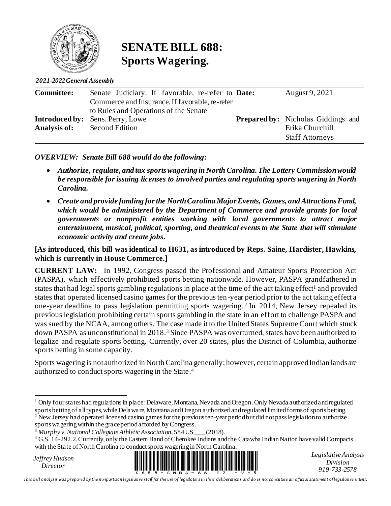

### **SENATE BILL 688: Sports Wagering.**

*2021-2022 General Assembly*

| <b>Committee:</b> | Senate Judiciary. If favorable, re-refer to Date: | August 9, 2021                            |
|-------------------|---------------------------------------------------|-------------------------------------------|
|                   | Commerce and Insurance. If favorable, re-refer    |                                           |
|                   | to Rules and Operations of the Senate             |                                           |
|                   | <b>Introduced by:</b> Sens. Perry, Lowe           | <b>Prepared by:</b> Nicholas Giddings and |
| Analysis of:      | <b>Second Edition</b>                             | Erika Churchill                           |
|                   |                                                   | <b>Staff Attorneys</b>                    |

*OVERVIEW: Senate Bill 688 would do the following:*

- *Authorize, regulate, and tax sports wagering in North Carolina. The Lottery Commission would be responsible for issuing licenses to involved parties and regulating sports wagering in North Carolina.*
- *Create and provide funding for the North Carolina Major Events, Games, and Attractions Fund, which would be administered by the Department of Commerce and provide grants for local governments or nonprofit entities working with local governments to attract major entertainment, musical, political, sporting, and theatrical events to the State that will stimulate economic activity and create jobs.*

#### **[As introduced, this bill was identical to H631, as introduced by Reps. Saine, Hardister, Hawkins, which is currently in House Commerce.]**

**CURRENT LAW:** In 1992, Congress passed the Professional and Amateur Sports Protection Act (PASPA), which effectively prohibited sports betting nationwide. However, PASPA grandfathered in states that had legal sports gambling regulations in place at the time of the act taking effect<sup>1</sup> and provided states that operated licensed casino games for the previous ten-year period prior to the act taking effect a one-year deadline to pass legislation permitting sports wagering. <sup>2</sup> In 2014, New Jersey repealed its previous legislation prohibiting certain sports gambling in the state in an effort to challenge PASPA and was sued by the NCAA, among others. The case made it to the United States Supreme Court which struck down PASPA as unconstitutional in 2018. <sup>3</sup> Since PASPA was overturned, states have been authorized to legalize and regulate sports betting. Currently, over 20 states, plus the District of Columbia, authorize sports betting in some capacity.

Sports wagering is not authorized in North Carolina generally; however, certain approved Indian landsare authorized to conduct sports wagering in the State. 4

New Jersey had operated licensed casino games for the previous ten-year period butdid not pass legislation to authorize sports wagering within the grace period afforded by Congress.

<sup>3</sup> *Murphy v. National Collegiate Athletic Association*, 584 US \_\_\_ (2018).

*Jeffrey Hudson*



*Legislative Analysis Division 919-733-2578*

*This bill analysis was prepared by the nonpartisan legislative staff for the use of legislators in their deliberations and do es not constitute an official statement of legislative intent.*

<sup>1</sup> Only four states had regulations in place: Delaware, Montana, Nevada and Oregon. Only Nevada authorized and regulated sports betting of all types, while Delaware, Montana and Oregon authorized and regulated limited forms of sports betting.

<sup>&</sup>lt;sup>4</sup> G.S. 14-292.2. Currently, only the Eastern Band of Cherokee Indians and the Catawba Indian Nation have valid Compacts with the State of North Carolina to conduct sports wagering in North Carolina.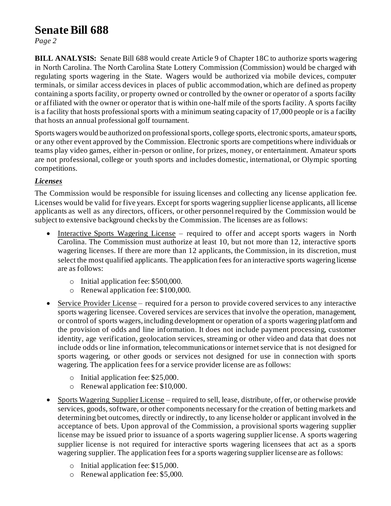# **Senate Bill 688**

*Page 2*

**BILL ANALYSIS:** Senate Bill 688 would create Article 9 of Chapter 18C to authorize sports wagering in North Carolina. The North Carolina State Lottery Commission (Commission) would be charged with regulating sports wagering in the State. Wagers would be authorized via mobile devices, computer terminals, or similar access devices in places of public accommodation, which are defined as property containing a sports facility, or property owned or controlled by the owner or operator of a sports facility or affiliated with the owner or operator that is within one-half mile of the sports facility. A sports facility is a facility that hosts professional sports with a minimum seating capacity of 17,000 people or is a facility that hosts an annual professional golf tournament.

Sports wagers would be authorized on professional sports, college sports, electronic sports, amateur sports, or any other event approved by the Commission. Electronic sports are competitions where individuals or teams play video games, either in-person or online, for prizes, money, or entertainment. Amateur sports are not professional, college or youth sports and includes domestic, international, or Olympic sporting competitions.

#### *Licenses*

The Commission would be responsible for issuing licenses and collecting any license application fee. Licenses would be valid for five years. Except for sports wagering supplier license applicants, all license applicants as well as any directors, officers, or other personnel required by the Commission would be subject to extensive background checks by the Commission. The licenses are as follows:

- Interactive Sports Wagering License required to offer and accept sports wagers in North Carolina. The Commission must authorize at least 10, but not more than 12, interactive sports wagering licenses. If there are more than 12 applicants, the Commission, in its discretion, must select the most qualified applicants. The application fees for an interactive sports wagering license are as follows:
	- o Initial application fee: \$500,000.
	- o Renewal application fee: \$100,000.
- Service Provider License required for a person to provide covered services to any interactive sports wagering licensee. Covered services are services that involve the operation, management, or control of sports wagers, including development or operation of a sports wagering platform and the provision of odds and line information. It does not include payment processing, customer identity, age verification, geolocation services, streaming or other video and data that does not include odds or line information, telecommunications or internet service that is not designed for sports wagering, or other goods or services not designed for use in connection with sports wagering. The application fees for a service provider license are as follows:
	- o Initial application fee: \$25,000.
	- o Renewal application fee: \$10,000.
- Sports Wagering Supplier License required to sell, lease, distribute, offer, or otherwise provide services, goods, software, or other components necessary for the creation of betting markets and determining bet outcomes, directly or indirectly, to any license holder or applicant involved in the acceptance of bets. Upon approval of the Commission, a provisional sports wagering supplier license may be issued prior to issuance of a sports wagering supplier license. A sports wagering supplier license is not required for interactive sports wagering licensees that act as a sports wagering supplier. The application fees for a sports wagering supplier license are as follows:
	- o Initial application fee: \$15,000.
	- o Renewal application fee: \$5,000.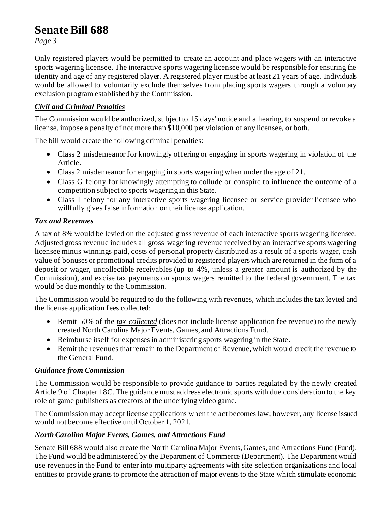# **Senate Bill 688**

*Page 3*

Only registered players would be permitted to create an account and place wagers with an interactive sports wagering licensee. The interactive sports wagering licensee would be responsible for ensuring the identity and age of any registered player. A registered player must be at least 21 years of age. Individuals would be allowed to voluntarily exclude themselves from placing sports wagers through a voluntary exclusion program established by the Commission.

#### *Civil and Criminal Penalties*

The Commission would be authorized, subject to 15 days' notice and a hearing, to suspend or revoke a license, impose a penalty of not more than \$10,000 per violation of any licensee, or both.

The bill would create the following criminal penalties:

- Class 2 misdemeanor for knowingly offering or engaging in sports wagering in violation of the Article.
- Class 2 misdemeanor for engaging in sports wagering when under the age of 21.
- Class G felony for knowingly attempting to collude or conspire to influence the outcome of a competition subject to sports wagering in this State.
- Class I felony for any interactive sports wagering licensee or service provider licensee who willfully gives false information on their license application.

#### *Tax and Revenues*

A tax of 8% would be levied on the adjusted gross revenue of each interactive sports wagering licensee. Adjusted gross revenue includes all gross wagering revenue received by an interactive sports wagering licensee minus winnings paid, costs of personal property distributed as a result of a sports wager, cash value of bonuses or promotional credits provided to registered players which are returned in the form of a deposit or wager, uncollectible receivables (up to 4%, unless a greater amount is authorized by the Commission), and excise tax payments on sports wagers remitted to the federal government. The tax would be due monthly to the Commission.

The Commission would be required to do the following with revenues, which includes the tax levied and the license application fees collected:

- Remit 50% of the *tax collected* (does not include license application fee revenue) to the newly created North Carolina Major Events, Games, and Attractions Fund.
- Reimburse itself for expenses in administering sports wagering in the State.
- Remit the revenues that remain to the Department of Revenue, which would credit the revenue to the General Fund.

#### *Guidance from Commission*

The Commission would be responsible to provide guidance to parties regulated by the newly created Article 9 of Chapter 18C. The guidance must address electronic sports with due consideration to the key role of game publishers as creators of the underlying video game.

The Commission may accept license applications when the act becomes law; however, any license issued would not become effective until October 1, 2021.

#### *North Carolina Major Events, Games, and Attractions Fund*

Senate Bill 688 would also create the North Carolina Major Events, Games, and Attractions Fund (Fund). The Fund would be administered by the Department of Commerce (Department). The Department would use revenues in the Fund to enter into multiparty agreements with site selection organizations and local entities to provide grants to promote the attraction of major events to the State which stimulate economic